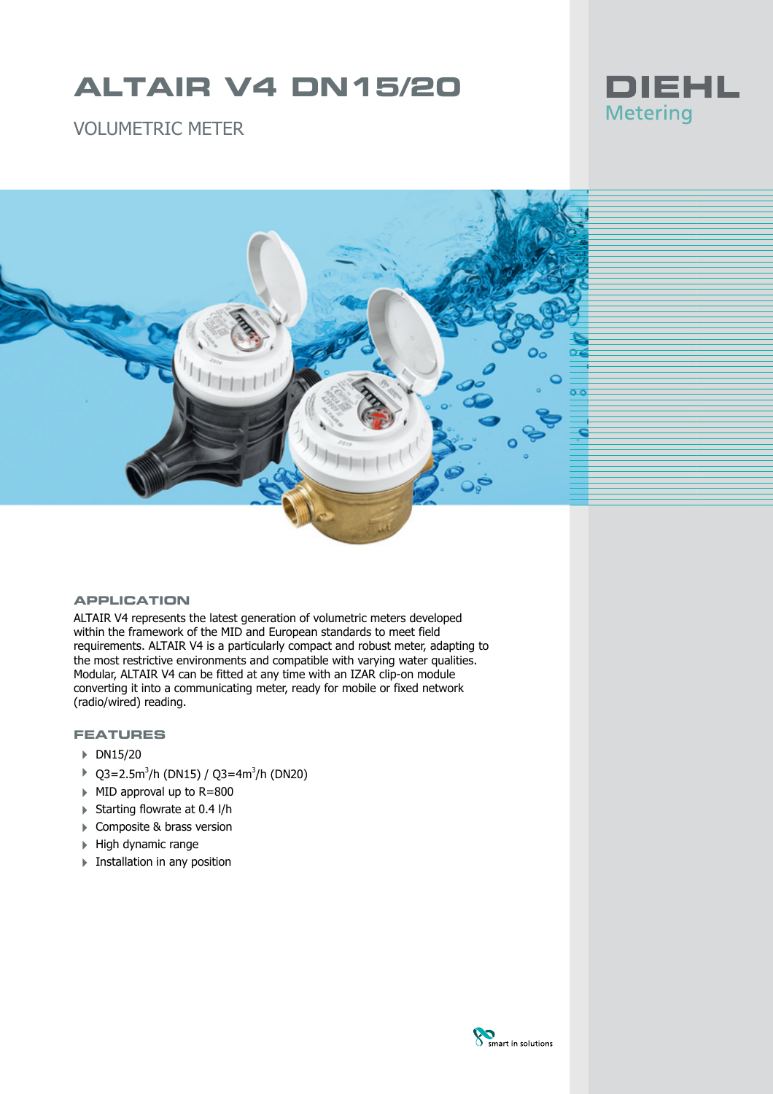# **ALTAIR V4 DN15/20**



VOLUMETRIC METER



#### **APPLICATION**

ALTAIR V4 represents the latest generation of volumetric meters developed within the framework of the MID and European standards to meet field requirements. ALTAIR V4 is a particularly compact and robust meter, adapting to the most restrictive environments and compatible with varying water qualities. Modular, ALTAIR V4 can be fitted at any time with an IZAR clip-on module converting it into a communicating meter, ready for mobile or fixed network (radio/wired) reading.

### **FEATURES**

- $\triangleright$  DN15/20
- $\triangleright$  Q3=2.5m<sup>3</sup>/h (DN15) / Q3=4m<sup>3</sup>/h (DN20)
- 4 MID approval up to R=800
- $\triangleright$  Starting flowrate at 0.4 l/h
- ▶ Composite & brass version
- $\blacktriangleright$  High dynamic range
- **Exercise 1 Installation in any position**

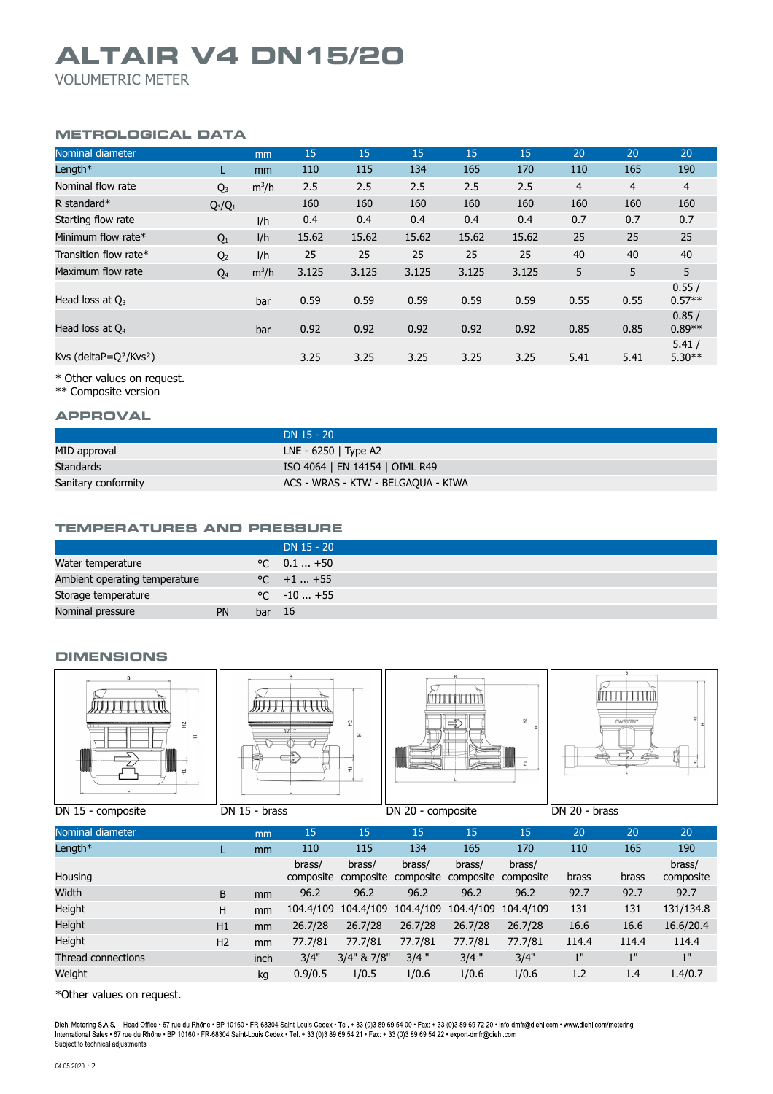## **ALTAIR V4 DN15/20**

VOLUMETRIC METER

### **METROLOGICAL DATA**

| Nominal diameter                               |                | mm            | 15    | 15    | 15    | 15    | 15    | 20             | 20             | 20                |
|------------------------------------------------|----------------|---------------|-------|-------|-------|-------|-------|----------------|----------------|-------------------|
| Length*                                        |                | <sub>mm</sub> | 110   | 115   | 134   | 165   | 170   | 110            | 165            | 190               |
| Nominal flow rate                              | $Q_3$          | $m^3/h$       | 2.5   | 2.5   | 2.5   | 2.5   | 2.5   | $\overline{4}$ | $\overline{4}$ | $\overline{4}$    |
| R standard $*$                                 | $Q_3/Q_1$      |               | 160   | 160   | 160   | 160   | 160   | 160            | 160            | 160               |
| Starting flow rate                             |                | 1/h           | 0.4   | 0.4   | 0.4   | 0.4   | 0.4   | 0.7            | 0.7            | 0.7               |
| Minimum flow rate*                             | $Q_1$          | 1/h           | 15.62 | 15.62 | 15.62 | 15.62 | 15.62 | 25             | 25             | 25                |
| Transition flow rate*                          | Q <sub>2</sub> | I/h           | 25    | 25    | 25    | 25    | 25    | 40             | 40             | 40                |
| Maximum flow rate                              | $Q_4$          | $m^3/h$       | 3.125 | 3.125 | 3.125 | 3.125 | 3.125 | 5              | 5              | 5                 |
| Head loss at $Q_3$                             |                | bar           | 0.59  | 0.59  | 0.59  | 0.59  | 0.59  | 0.55           | 0.55           | 0.55/<br>$0.57**$ |
| Head loss at $Q_4$                             |                | bar           | 0.92  | 0.92  | 0.92  | 0.92  | 0.92  | 0.85           | 0.85           | 0.85/<br>$0.89**$ |
| Kvs (deltaP=Q <sup>2</sup> /Kvs <sup>2</sup> ) |                |               | 3.25  | 3.25  | 3.25  | 3.25  | 3.25  | 5.41           | 5.41           | 5.41/<br>$5.30**$ |

\* Other values on request.

\*\* Composite version

#### **APPROVAL**

|                     | $DN$ 15 - 20                       |
|---------------------|------------------------------------|
| MID approval        | LNE - $6250$   Type A2             |
| Standards           | ISO 4064   EN 14154   OIML R49     |
| Sanitary conformity | ACS - WRAS - KTW - BELGAQUA - KIWA |

#### **TEMPERATURES AND PRESSURE**

|                               |    |        | DN 15 - 20           |
|-------------------------------|----|--------|----------------------|
| Water temperature             |    |        | $\degree$ C 0.1  +50 |
| Ambient operating temperature |    |        | $\degree$ C +1  +55  |
| Storage temperature           |    |        | $\degree$ C $-10+55$ |
| Nominal pressure              | PN | bar 16 |                      |

#### **DIMENSIONS**

| B<br>잎<br>고<br>--<br>부 | NI<br>17<br>¢ | ím od od          | 0.00000<br>TTTIII<br>CW617N*<br>THE RESIDENT |
|------------------------|---------------|-------------------|----------------------------------------------|
| DN 15 - composite      | DN 15 - brass | DN 20 - composite | DN 20 - brass                                |

| ----------         |                |      |                     |                     | ----------          |                     |                     |       |       |                     |
|--------------------|----------------|------|---------------------|---------------------|---------------------|---------------------|---------------------|-------|-------|---------------------|
| Nominal diameter   |                | mm   | 15                  | 15                  | 15                  | 15                  | 15                  | 20    | 20    | 20                  |
| Length $*$         |                | mm   | 110                 | 115                 | 134                 | 165                 | 170                 | 110   | 165   | 190                 |
| Housing            |                |      | brass/<br>composite | brass/<br>composite | brass/<br>composite | brass/<br>composite | brass/<br>composite | brass | brass | brass/<br>composite |
| Width              | B              | mm   | 96.2                | 96.2                | 96.2                | 96.2                | 96.2                | 92.7  | 92.7  | 92.7                |
| Height             | н              | mm   | 104.4/109           | 104.4/109           | 104.4/109           | 104.4/109           | 104.4/109           | 131   | 131   | 131/134.8           |
| Height             | H1             | mm   | 26.7/28             | 26.7/28             | 26.7/28             | 26.7/28             | 26.7/28             | 16.6  | 16.6  | 16.6/20.4           |
| Height             | H <sub>2</sub> | mm   | 77.7/81             | 77.7/81             | 77.7/81             | 77.7/81             | 77.7/81             | 114.4 | 114.4 | 114.4               |
| Thread connections |                | inch | 3/4"                | 3/4" & 7/8"         | $3/4$ "             | $3/4$ "             | 3/4"                | 1"    | 1"    | 1"                  |
| Weight             |                | ka   | 0.9/0.5             | 1/0.5               | 1/0.6               | 1/0.6               | 1/0.6               | 1.2   | 1.4   | 1.4/0.7             |

\*Other values on request.

Diehl Metering S.A.S. – Head Office • 67 rue du Rhône • BP 10160 • FR-68304 Saint-Louis Cedex • Tel. + 33 (0)3 89 69 54 00 • Fax: + 33 (0)3 89 69 72 20 • info-dmfr@diehl.com • www.diehl.com/metering<br>International Sales • 6